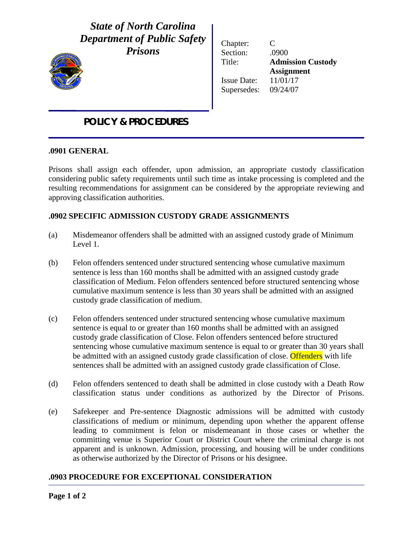# *State of North Carolina Department of Public Safety*

*Prisons*



Ϊ

Chapter: C Section: .0900 Title: **Admission Custody Assignment** Issue Date: 11/01/17 Supersedes: 09/24/07

# *POLICY & PROCEDURES*

#### **.0901 GENERAL**

Prisons shall assign each offender, upon admission, an appropriate custody classification considering public safety requirements until such time as intake processing is completed and the resulting recommendations for assignment can be considered by the appropriate reviewing and approving classification authorities.

### **.0902 SPECIFIC ADMISSION CUSTODY GRADE ASSIGNMENTS**

- (a) Misdemeanor offenders shall be admitted with an assigned custody grade of Minimum Level 1.
- (b) Felon offenders sentenced under structured sentencing whose cumulative maximum sentence is less than 160 months shall be admitted with an assigned custody grade classification of Medium. Felon offenders sentenced before structured sentencing whose cumulative maximum sentence is less than 30 years shall be admitted with an assigned custody grade classification of medium.
- (c) Felon offenders sentenced under structured sentencing whose cumulative maximum sentence is equal to or greater than 160 months shall be admitted with an assigned custody grade classification of Close. Felon offenders sentenced before structured sentencing whose cumulative maximum sentence is equal to or greater than 30 years shall be admitted with an assigned custody grade classification of close. Offenders with life sentences shall be admitted with an assigned custody grade classification of Close.
- (d) Felon offenders sentenced to death shall be admitted in close custody with a Death Row classification status under conditions as authorized by the Director of Prisons.
- (e) Safekeeper and Pre-sentence Diagnostic admissions will be admitted with custody classifications of medium or minimum, depending upon whether the apparent offense leading to commitment is felon or misdemeanant in those cases or whether the committing venue is Superior Court or District Court where the criminal charge is not apparent and is unknown. Admission, processing, and housing will be under conditions as otherwise authorized by the Director of Prisons or his designee.

## **.0903 PROCEDURE FOR EXCEPTIONAL CONSIDERATION**